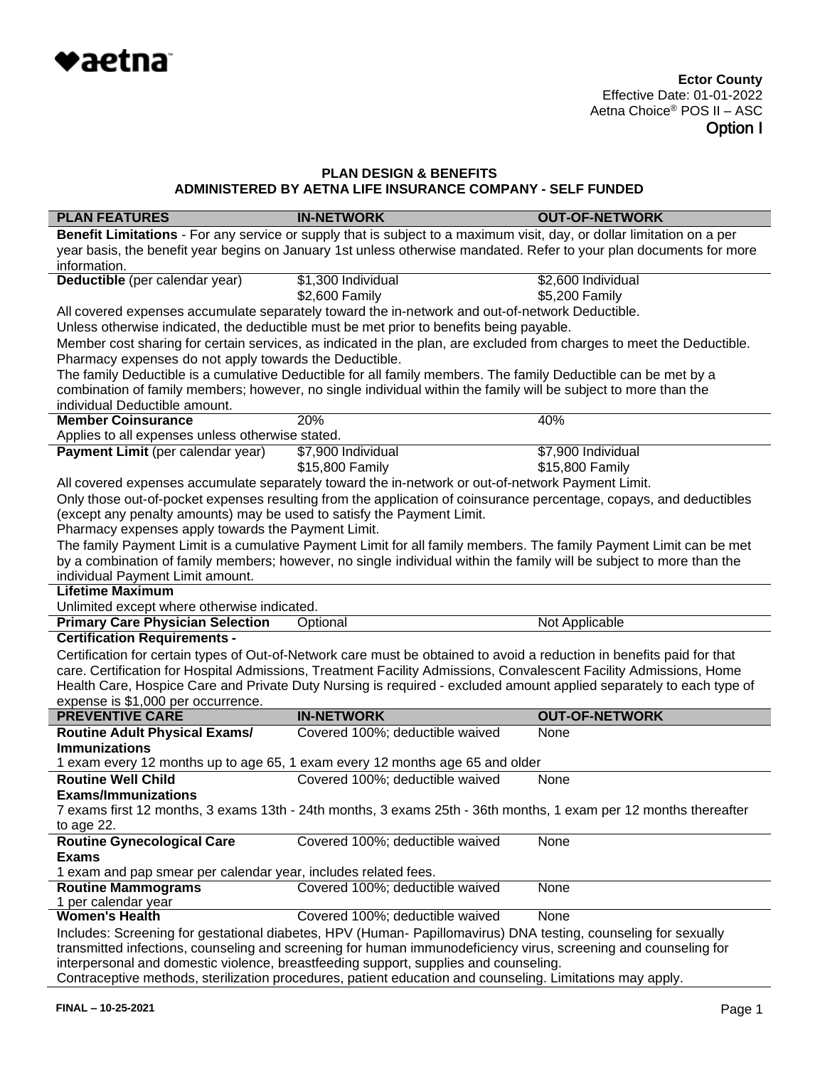

| <b>PLAN FEATURES</b>                                                                                             | <b>IN-NETWORK</b>                                                                                                      | <b>OUT-OF-NETWORK</b> |  |  |
|------------------------------------------------------------------------------------------------------------------|------------------------------------------------------------------------------------------------------------------------|-----------------------|--|--|
|                                                                                                                  | Benefit Limitations - For any service or supply that is subject to a maximum visit, day, or dollar limitation on a per |                       |  |  |
|                                                                                                                  | year basis, the benefit year begins on January 1st unless otherwise mandated. Refer to your plan documents for more    |                       |  |  |
| information.                                                                                                     |                                                                                                                        |                       |  |  |
| Deductible (per calendar year)                                                                                   | $$1,300$ Individual                                                                                                    | \$2,600 Individual    |  |  |
|                                                                                                                  | \$2,600 Family                                                                                                         | \$5,200 Family        |  |  |
|                                                                                                                  | All covered expenses accumulate separately toward the in-network and out-of-network Deductible.                        |                       |  |  |
|                                                                                                                  | Unless otherwise indicated, the deductible must be met prior to benefits being payable.                                |                       |  |  |
| Pharmacy expenses do not apply towards the Deductible.                                                           | Member cost sharing for certain services, as indicated in the plan, are excluded from charges to meet the Deductible.  |                       |  |  |
|                                                                                                                  | The family Deductible is a cumulative Deductible for all family members. The family Deductible can be met by a         |                       |  |  |
|                                                                                                                  | combination of family members; however, no single individual within the family will be subject to more than the        |                       |  |  |
| individual Deductible amount.                                                                                    |                                                                                                                        |                       |  |  |
| <b>Member Coinsurance</b>                                                                                        | 20%                                                                                                                    | 40%                   |  |  |
| Applies to all expenses unless otherwise stated.                                                                 |                                                                                                                        |                       |  |  |
| Payment Limit (per calendar year)                                                                                | \$7,900 Individual                                                                                                     | \$7,900 Individual    |  |  |
|                                                                                                                  | \$15,800 Family                                                                                                        | \$15,800 Family       |  |  |
|                                                                                                                  | All covered expenses accumulate separately toward the in-network or out-of-network Payment Limit.                      |                       |  |  |
|                                                                                                                  | Only those out-of-pocket expenses resulting from the application of coinsurance percentage, copays, and deductibles    |                       |  |  |
| (except any penalty amounts) may be used to satisfy the Payment Limit.                                           |                                                                                                                        |                       |  |  |
| Pharmacy expenses apply towards the Payment Limit.                                                               |                                                                                                                        |                       |  |  |
|                                                                                                                  | The family Payment Limit is a cumulative Payment Limit for all family members. The family Payment Limit can be met     |                       |  |  |
|                                                                                                                  | by a combination of family members; however, no single individual within the family will be subject to more than the   |                       |  |  |
| individual Payment Limit amount.                                                                                 |                                                                                                                        |                       |  |  |
| <b>Lifetime Maximum</b>                                                                                          |                                                                                                                        |                       |  |  |
| Unlimited except where otherwise indicated.                                                                      |                                                                                                                        |                       |  |  |
| <b>Primary Care Physician Selection</b>                                                                          | Optional                                                                                                               | Not Applicable        |  |  |
| <b>Certification Requirements -</b>                                                                              |                                                                                                                        |                       |  |  |
|                                                                                                                  | Certification for certain types of Out-of-Network care must be obtained to avoid a reduction in benefits paid for that |                       |  |  |
|                                                                                                                  | care. Certification for Hospital Admissions, Treatment Facility Admissions, Convalescent Facility Admissions, Home     |                       |  |  |
|                                                                                                                  | Health Care, Hospice Care and Private Duty Nursing is required - excluded amount applied separately to each type of    |                       |  |  |
| expense is \$1,000 per occurrence.<br><b>PREVENTIVE CARE</b>                                                     | <b>IN-NETWORK</b>                                                                                                      | <b>OUT-OF-NETWORK</b> |  |  |
|                                                                                                                  |                                                                                                                        | None                  |  |  |
| <b>Routine Adult Physical Exams/</b><br><b>Immunizations</b>                                                     | Covered 100%; deductible waived                                                                                        |                       |  |  |
|                                                                                                                  | 1 exam every 12 months up to age 65, 1 exam every 12 months age 65 and older                                           |                       |  |  |
| <b>Routine Well Child</b>                                                                                        |                                                                                                                        |                       |  |  |
|                                                                                                                  | Covered 100%; deductible waived                                                                                        | None                  |  |  |
| <b>Exams/Immunizations</b>                                                                                       |                                                                                                                        |                       |  |  |
| 7 exams first 12 months, 3 exams 13th - 24th months, 3 exams 25th - 36th months, 1 exam per 12 months thereafter |                                                                                                                        |                       |  |  |
| to age 22.<br><b>Routine Gynecological Care</b>                                                                  | Covered 100%; deductible waived                                                                                        | None                  |  |  |
| <b>Exams</b>                                                                                                     |                                                                                                                        |                       |  |  |
| 1 exam and pap smear per calendar year, includes related fees.                                                   |                                                                                                                        |                       |  |  |
| <b>Routine Mammograms</b>                                                                                        | Covered 100%; deductible waived                                                                                        | None                  |  |  |
| 1 per calendar year                                                                                              |                                                                                                                        |                       |  |  |
| <b>Women's Health</b>                                                                                            | Covered 100%; deductible waived                                                                                        | None                  |  |  |
|                                                                                                                  | Includes: Screening for gestational diabetes, HPV (Human- Papillomavirus) DNA testing, counseling for sexually         |                       |  |  |
| transmitted infections, counseling and screening for human immunodeficiency virus, screening and counseling for  |                                                                                                                        |                       |  |  |
|                                                                                                                  | interpersonal and domestic violence, breastfeeding support, supplies and counseling.                                   |                       |  |  |
|                                                                                                                  | de etarilization propoduron potiont oducation and counceling. Limitations mou a                                        |                       |  |  |

Contraceptive methods, sterilization procedures, patient education and counseling. Limitations may apply.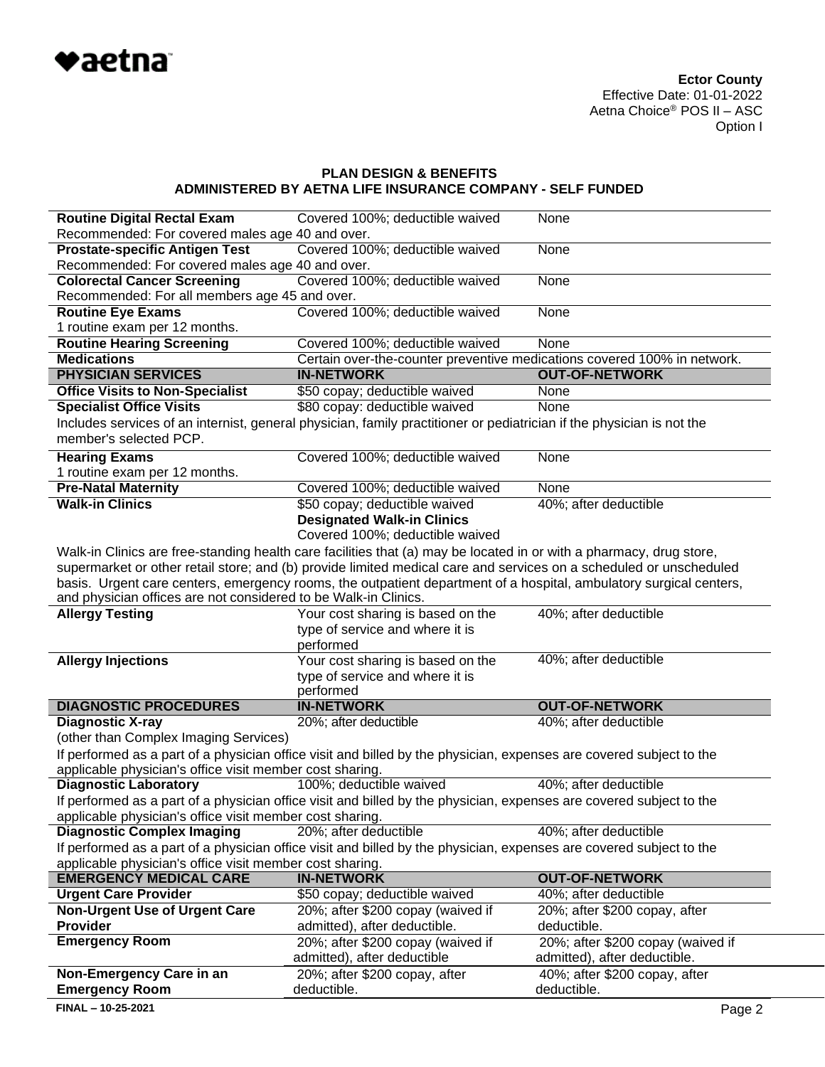

| <b>Routine Digital Rectal Exam</b>                              | Covered 100%; deductible waived                                                                                       | None                              |  |  |
|-----------------------------------------------------------------|-----------------------------------------------------------------------------------------------------------------------|-----------------------------------|--|--|
| Recommended: For covered males age 40 and over.                 |                                                                                                                       |                                   |  |  |
| <b>Prostate-specific Antigen Test</b>                           | Covered 100%; deductible waived                                                                                       | None                              |  |  |
| Recommended: For covered males age 40 and over.                 |                                                                                                                       |                                   |  |  |
| <b>Colorectal Cancer Screening</b>                              | Covered 100%; deductible waived                                                                                       | None                              |  |  |
| Recommended: For all members age 45 and over.                   |                                                                                                                       |                                   |  |  |
| <b>Routine Eye Exams</b>                                        | Covered 100%; deductible waived                                                                                       | None                              |  |  |
| 1 routine exam per 12 months.                                   |                                                                                                                       |                                   |  |  |
| <b>Routine Hearing Screening</b>                                | Covered 100%; deductible waived                                                                                       | None                              |  |  |
| <b>Medications</b>                                              | Certain over-the-counter preventive medications covered 100% in network.                                              |                                   |  |  |
| <b>PHYSICIAN SERVICES</b>                                       | <b>IN-NETWORK</b>                                                                                                     | <b>OUT-OF-NETWORK</b>             |  |  |
| <b>Office Visits to Non-Specialist</b>                          | \$50 copay; deductible waived                                                                                         | None                              |  |  |
| <b>Specialist Office Visits</b>                                 | \$80 copay: deductible waived                                                                                         | None                              |  |  |
|                                                                 | Includes services of an internist, general physician, family practitioner or pediatrician if the physician is not the |                                   |  |  |
| member's selected PCP.                                          |                                                                                                                       |                                   |  |  |
| <b>Hearing Exams</b>                                            | Covered 100%; deductible waived                                                                                       | None                              |  |  |
| 1 routine exam per 12 months.                                   |                                                                                                                       |                                   |  |  |
| <b>Pre-Natal Maternity</b>                                      | Covered 100%; deductible waived                                                                                       | None                              |  |  |
| <b>Walk-in Clinics</b>                                          | \$50 copay; deductible waived                                                                                         | 40%; after deductible             |  |  |
|                                                                 | <b>Designated Walk-in Clinics</b>                                                                                     |                                   |  |  |
|                                                                 | Covered 100%; deductible waived                                                                                       |                                   |  |  |
|                                                                 | Walk-in Clinics are free-standing health care facilities that (a) may be located in or with a pharmacy, drug store,   |                                   |  |  |
|                                                                 | supermarket or other retail store; and (b) provide limited medical care and services on a scheduled or unscheduled    |                                   |  |  |
|                                                                 | basis. Urgent care centers, emergency rooms, the outpatient department of a hospital, ambulatory surgical centers,    |                                   |  |  |
| and physician offices are not considered to be Walk-in Clinics. |                                                                                                                       |                                   |  |  |
| <b>Allergy Testing</b>                                          | Your cost sharing is based on the                                                                                     | 40%; after deductible             |  |  |
|                                                                 | type of service and where it is                                                                                       |                                   |  |  |
|                                                                 | performed                                                                                                             |                                   |  |  |
| <b>Allergy Injections</b>                                       | Your cost sharing is based on the                                                                                     | 40%; after deductible             |  |  |
|                                                                 | type of service and where it is                                                                                       |                                   |  |  |
|                                                                 | performed                                                                                                             |                                   |  |  |
| <b>DIAGNOSTIC PROCEDURES</b>                                    | <b>IN-NETWORK</b>                                                                                                     | <b>OUT-OF-NETWORK</b>             |  |  |
| <b>Diagnostic X-ray</b>                                         | 20%; after deductible                                                                                                 | 40%; after deductible             |  |  |
| (other than Complex Imaging Services)                           |                                                                                                                       |                                   |  |  |
|                                                                 | If performed as a part of a physician office visit and billed by the physician, expenses are covered subject to the   |                                   |  |  |
| applicable physician's office visit member cost sharing.        |                                                                                                                       |                                   |  |  |
| <b>Diagnostic Laboratory</b>                                    | 100%; deductible waived                                                                                               | 40%; after deductible             |  |  |
|                                                                 | If performed as a part of a physician office visit and billed by the physician, expenses are covered subject to the   |                                   |  |  |
| applicable physician's office visit member cost sharing.        |                                                                                                                       |                                   |  |  |
| <b>Diagnostic Complex Imaging</b>                               | 20%; after deductible                                                                                                 | 40%; after deductible             |  |  |
|                                                                 | If performed as a part of a physician office visit and billed by the physician, expenses are covered subject to the   |                                   |  |  |
| applicable physician's office visit member cost sharing.        |                                                                                                                       |                                   |  |  |
| <b>EMERGENCY MEDICAL CARE</b>                                   | <b>IN-NETWORK</b>                                                                                                     | <b>OUT-OF-NETWORK</b>             |  |  |
| <b>Urgent Care Provider</b>                                     | \$50 copay; deductible waived                                                                                         | 40%; after deductible             |  |  |
| <b>Non-Urgent Use of Urgent Care</b>                            | 20%; after \$200 copay (waived if                                                                                     | 20%; after \$200 copay, after     |  |  |
| <b>Provider</b>                                                 | admitted), after deductible.                                                                                          | deductible.                       |  |  |
| <b>Emergency Room</b>                                           | 20%; after \$200 copay (waived if                                                                                     | 20%; after \$200 copay (waived if |  |  |
|                                                                 |                                                                                                                       |                                   |  |  |
|                                                                 |                                                                                                                       | admitted), after deductible.      |  |  |
|                                                                 | admitted), after deductible                                                                                           |                                   |  |  |
| Non-Emergency Care in an                                        | 20%; after \$200 copay, after                                                                                         | 40%; after \$200 copay, after     |  |  |
| <b>Emergency Room</b><br>FINAL - 10-25-2021                     | deductible.                                                                                                           | deductible.<br>Page 2             |  |  |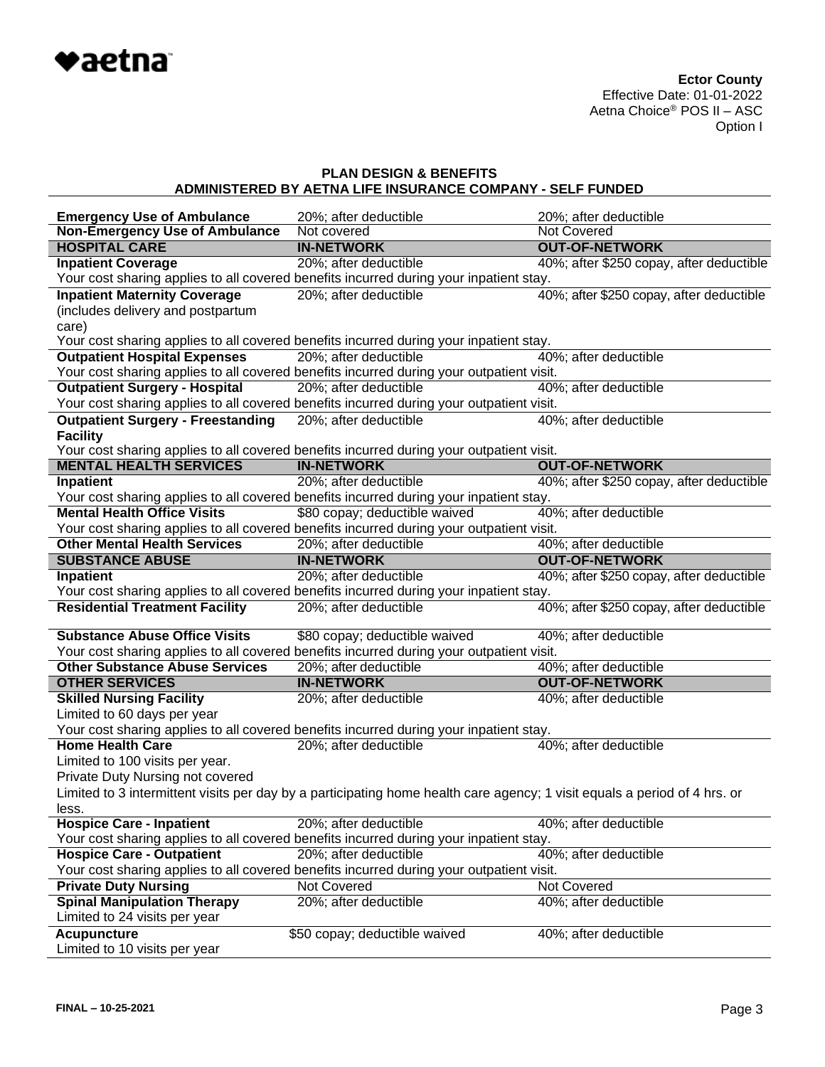

| <b>Emergency Use of Ambulance</b>        | 20%; after deductible                                                                                                     | 20%; after deductible                    |
|------------------------------------------|---------------------------------------------------------------------------------------------------------------------------|------------------------------------------|
| <b>Non-Emergency Use of Ambulance</b>    | Not covered                                                                                                               | Not Covered                              |
| <b>HOSPITAL CARE</b>                     | <b>IN-NETWORK</b>                                                                                                         | <b>OUT-OF-NETWORK</b>                    |
| <b>Inpatient Coverage</b>                | 20%; after deductible                                                                                                     | 40%; after \$250 copay, after deductible |
|                                          | Your cost sharing applies to all covered benefits incurred during your inpatient stay.                                    |                                          |
| <b>Inpatient Maternity Coverage</b>      | 20%; after deductible                                                                                                     | 40%; after \$250 copay, after deductible |
| (includes delivery and postpartum        |                                                                                                                           |                                          |
| care)                                    |                                                                                                                           |                                          |
|                                          | Your cost sharing applies to all covered benefits incurred during your inpatient stay.                                    |                                          |
| <b>Outpatient Hospital Expenses</b>      | 20%; after deductible                                                                                                     | 40%; after deductible                    |
|                                          | Your cost sharing applies to all covered benefits incurred during your outpatient visit.                                  |                                          |
| <b>Outpatient Surgery - Hospital</b>     | 20%; after deductible                                                                                                     | 40%; after deductible                    |
|                                          | Your cost sharing applies to all covered benefits incurred during your outpatient visit.                                  |                                          |
| <b>Outpatient Surgery - Freestanding</b> | 20%; after deductible                                                                                                     | 40%; after deductible                    |
| <b>Facility</b>                          |                                                                                                                           |                                          |
|                                          | Your cost sharing applies to all covered benefits incurred during your outpatient visit.                                  |                                          |
| <b>MENTAL HEALTH SERVICES</b>            | <b>IN-NETWORK</b>                                                                                                         | <b>OUT-OF-NETWORK</b>                    |
| Inpatient                                | 20%; after deductible                                                                                                     | 40%; after \$250 copay, after deductible |
|                                          | Your cost sharing applies to all covered benefits incurred during your inpatient stay.                                    |                                          |
| <b>Mental Health Office Visits</b>       | \$80 copay; deductible waived                                                                                             | 40%; after deductible                    |
|                                          | Your cost sharing applies to all covered benefits incurred during your outpatient visit.                                  |                                          |
| <b>Other Mental Health Services</b>      | 20%; after deductible                                                                                                     | 40%; after deductible                    |
| <b>SUBSTANCE ABUSE</b>                   | <b>IN-NETWORK</b>                                                                                                         | <b>OUT-OF-NETWORK</b>                    |
| <b>Inpatient</b>                         | 20%; after deductible                                                                                                     | 40%; after \$250 copay, after deductible |
|                                          | Your cost sharing applies to all covered benefits incurred during your inpatient stay.                                    |                                          |
| <b>Residential Treatment Facility</b>    | 20%; after deductible                                                                                                     | 40%; after \$250 copay, after deductible |
| <b>Substance Abuse Office Visits</b>     | \$80 copay; deductible waived                                                                                             | 40%; after deductible                    |
|                                          | Your cost sharing applies to all covered benefits incurred during your outpatient visit.                                  |                                          |
| <b>Other Substance Abuse Services</b>    | 20%; after deductible                                                                                                     | 40%; after deductible                    |
| <b>OTHER SERVICES</b>                    | <b>IN-NETWORK</b>                                                                                                         | <b>OUT-OF-NETWORK</b>                    |
| <b>Skilled Nursing Facility</b>          | 20%; after deductible                                                                                                     | 40%; after deductible                    |
| Limited to 60 days per year              |                                                                                                                           |                                          |
|                                          | Your cost sharing applies to all covered benefits incurred during your inpatient stay.                                    |                                          |
| <b>Home Health Care</b>                  | 20%; after deductible                                                                                                     | 40%; after deductible                    |
| Limited to 100 visits per year.          |                                                                                                                           |                                          |
| Private Duty Nursing not covered         |                                                                                                                           |                                          |
|                                          | Limited to 3 intermittent visits per day by a participating home health care agency; 1 visit equals a period of 4 hrs. or |                                          |
| less.                                    |                                                                                                                           |                                          |
| <b>Hospice Care - Inpatient</b>          | 20%; after deductible                                                                                                     | 40%; after deductible                    |
|                                          | Your cost sharing applies to all covered benefits incurred during your inpatient stay.                                    |                                          |
| <b>Hospice Care - Outpatient</b>         | 20%; after deductible                                                                                                     | 40%; after deductible                    |
|                                          | Your cost sharing applies to all covered benefits incurred during your outpatient visit.                                  |                                          |
| <b>Private Duty Nursing</b>              | Not Covered                                                                                                               | Not Covered                              |
| <b>Spinal Manipulation Therapy</b>       | 20%; after deductible                                                                                                     | 40%; after deductible                    |
| Limited to 24 visits per year            |                                                                                                                           |                                          |
| <b>Acupuncture</b>                       | \$50 copay; deductible waived                                                                                             | 40%; after deductible                    |
| Limited to 10 visits per year            |                                                                                                                           |                                          |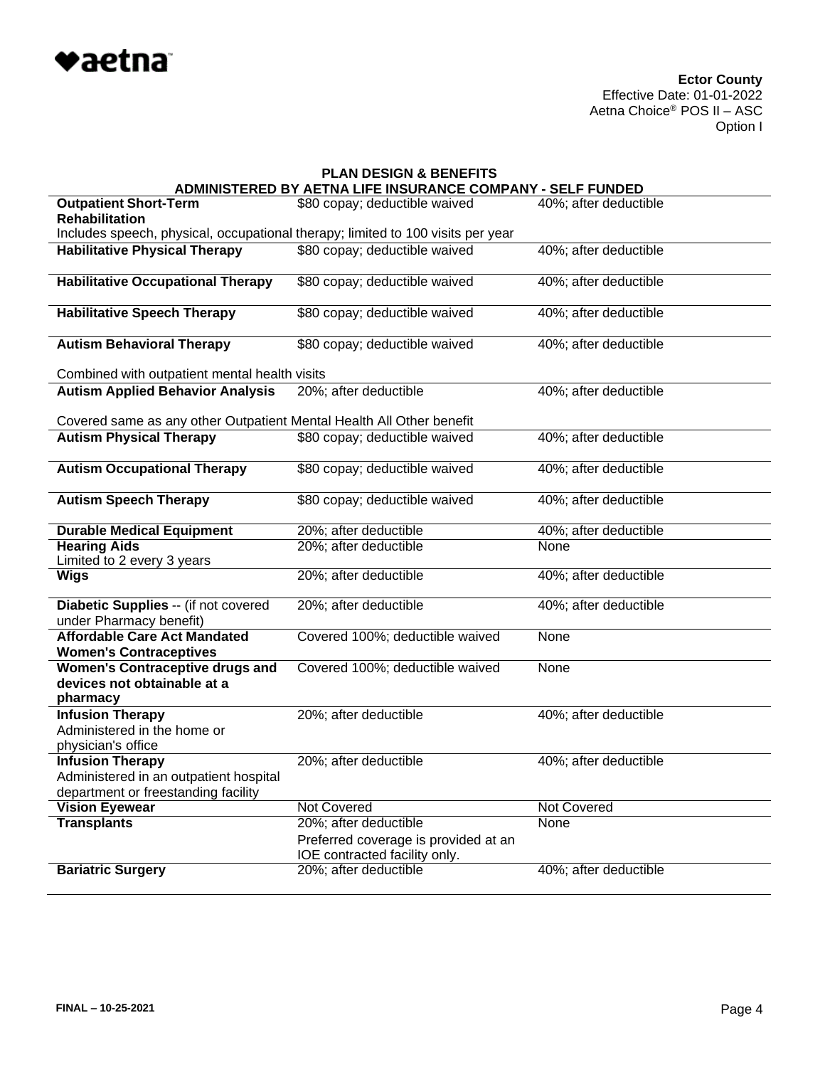

| <b>PLAN DESIGN &amp; BENEFITS</b>                                                                        |                                                                       |                       |  |  |
|----------------------------------------------------------------------------------------------------------|-----------------------------------------------------------------------|-----------------------|--|--|
|                                                                                                          | <b>\DMINISTERED BY AETNA LIFE INSURANCE COMPANY - SELF FUNDED</b>     |                       |  |  |
| <b>Outpatient Short-Term</b><br><b>Rehabilitation</b>                                                    | \$80 copay; deductible waived                                         | 40%; after deductible |  |  |
| Includes speech, physical, occupational therapy; limited to 100 visits per year                          |                                                                       |                       |  |  |
| <b>Habilitative Physical Therapy</b>                                                                     | \$80 copay; deductible waived                                         | 40%; after deductible |  |  |
| <b>Habilitative Occupational Therapy</b>                                                                 | \$80 copay; deductible waived                                         | 40%; after deductible |  |  |
| <b>Habilitative Speech Therapy</b>                                                                       | \$80 copay; deductible waived                                         | 40%; after deductible |  |  |
| <b>Autism Behavioral Therapy</b>                                                                         | \$80 copay; deductible waived                                         | 40%; after deductible |  |  |
| Combined with outpatient mental health visits                                                            |                                                                       |                       |  |  |
| <b>Autism Applied Behavior Analysis</b>                                                                  | 20%; after deductible                                                 | 40%; after deductible |  |  |
| Covered same as any other Outpatient Mental Health All Other benefit                                     |                                                                       |                       |  |  |
| <b>Autism Physical Therapy</b>                                                                           | \$80 copay; deductible waived                                         | 40%; after deductible |  |  |
| <b>Autism Occupational Therapy</b>                                                                       | \$80 copay; deductible waived                                         | 40%; after deductible |  |  |
| <b>Autism Speech Therapy</b>                                                                             | \$80 copay; deductible waived                                         | 40%; after deductible |  |  |
| <b>Durable Medical Equipment</b>                                                                         | 20%; after deductible                                                 | 40%; after deductible |  |  |
| <b>Hearing Aids</b><br>Limited to 2 every 3 years                                                        | 20%; after deductible                                                 | <b>None</b>           |  |  |
| <b>Wigs</b>                                                                                              | 20%; after deductible                                                 | 40%; after deductible |  |  |
| Diabetic Supplies -- (if not covered<br>under Pharmacy benefit)                                          | 20%; after deductible                                                 | 40%; after deductible |  |  |
| <b>Affordable Care Act Mandated</b><br><b>Women's Contraceptives</b>                                     | Covered 100%; deductible waived                                       | None                  |  |  |
| <b>Women's Contraceptive drugs and</b><br>devices not obtainable at a<br>pharmacy                        | Covered 100%; deductible waived                                       | None                  |  |  |
| <b>Infusion Therapy</b><br>Administered in the home or<br>physician's office                             | 20%; after deductible                                                 | 40%; after deductible |  |  |
| <b>Infusion Therapy</b><br>Administered in an outpatient hospital<br>department or freestanding facility | 20%; after deductible                                                 | 40%; after deductible |  |  |
| <b>Vision Eyewear</b>                                                                                    | Not Covered                                                           | Not Covered           |  |  |
| <b>Transplants</b>                                                                                       | 20%; after deductible                                                 | None                  |  |  |
|                                                                                                          | Preferred coverage is provided at an<br>IOE contracted facility only. |                       |  |  |
| <b>Bariatric Surgery</b>                                                                                 | 20%; after deductible                                                 | 40%; after deductible |  |  |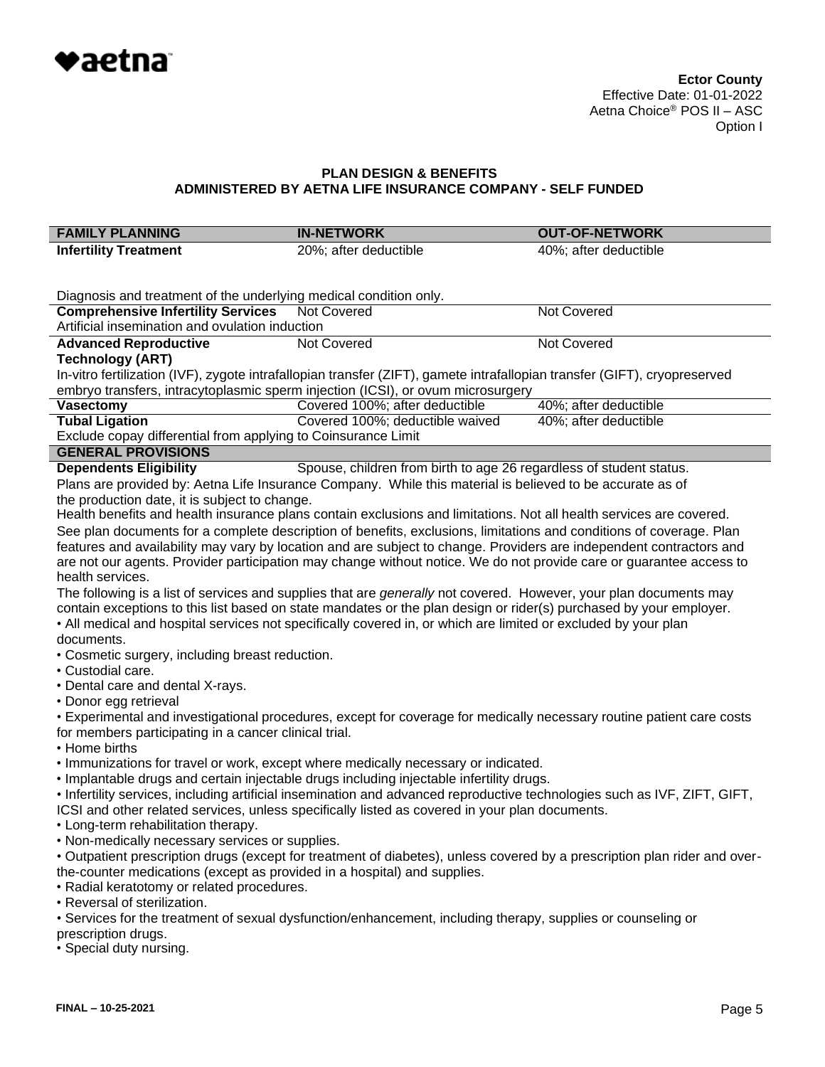

| <b>FAMILY PLANNING</b>                                                                                                    | <b>IN-NETWORK</b>                                                                                                         | <b>OUT-OF-NETWORK</b> |  |  |
|---------------------------------------------------------------------------------------------------------------------------|---------------------------------------------------------------------------------------------------------------------------|-----------------------|--|--|
| <b>Infertility Treatment</b>                                                                                              | 20%; after deductible                                                                                                     | 40%; after deductible |  |  |
|                                                                                                                           |                                                                                                                           |                       |  |  |
| Diagnosis and treatment of the underlying medical condition only.                                                         |                                                                                                                           |                       |  |  |
| <b>Comprehensive Infertility Services</b>                                                                                 | <b>Not Covered</b>                                                                                                        | <b>Not Covered</b>    |  |  |
| Artificial insemination and ovulation induction                                                                           |                                                                                                                           |                       |  |  |
| <b>Advanced Reproductive</b>                                                                                              | Not Covered                                                                                                               | Not Covered           |  |  |
| <b>Technology (ART)</b>                                                                                                   |                                                                                                                           |                       |  |  |
|                                                                                                                           | In-vitro fertilization (IVF), zygote intrafallopian transfer (ZIFT), gamete intrafallopian transfer (GIFT), cryopreserved |                       |  |  |
|                                                                                                                           | embryo transfers, intracytoplasmic sperm injection (ICSI), or ovum microsurgery                                           |                       |  |  |
| <b>Vasectomy</b>                                                                                                          | Covered 100%; after deductible                                                                                            | 40%; after deductible |  |  |
| <b>Tubal Ligation</b>                                                                                                     | Covered 100%; deductible waived                                                                                           | 40%; after deductible |  |  |
| Exclude copay differential from applying to Coinsurance Limit                                                             |                                                                                                                           |                       |  |  |
| <b>GENERAL PROVISIONS</b>                                                                                                 |                                                                                                                           |                       |  |  |
| <b>Dependents Eligibility</b>                                                                                             | Spouse, children from birth to age 26 regardless of student status.                                                       |                       |  |  |
|                                                                                                                           | Plans are provided by: Aetna Life Insurance Company. While this material is believed to be accurate as of                 |                       |  |  |
| the production date, it is subject to change.                                                                             |                                                                                                                           |                       |  |  |
|                                                                                                                           | Health benefits and health insurance plans contain exclusions and limitations. Not all health services are covered.       |                       |  |  |
|                                                                                                                           | See plan documents for a complete description of benefits, exclusions, limitations and conditions of coverage. Plan       |                       |  |  |
|                                                                                                                           | features and availability may vary by location and are subject to change. Providers are independent contractors and       |                       |  |  |
|                                                                                                                           | are not our agents. Provider participation may change without notice. We do not provide care or guarantee access to       |                       |  |  |
| health services.                                                                                                          |                                                                                                                           |                       |  |  |
|                                                                                                                           | The following is a list of services and supplies that are <i>generally</i> not covered. However, your plan documents may  |                       |  |  |
|                                                                                                                           | contain exceptions to this list based on state mandates or the plan design or rider(s) purchased by your employer.        |                       |  |  |
|                                                                                                                           | • All medical and hospital services not specifically covered in, or which are limited or excluded by your plan            |                       |  |  |
| documents.                                                                                                                |                                                                                                                           |                       |  |  |
| • Cosmetic surgery, including breast reduction.                                                                           |                                                                                                                           |                       |  |  |
| • Custodial care.                                                                                                         |                                                                                                                           |                       |  |  |
| • Dental care and dental X-rays.                                                                                          |                                                                                                                           |                       |  |  |
| • Donor egg retrieval                                                                                                     |                                                                                                                           |                       |  |  |
|                                                                                                                           | • Experimental and investigational procedures, except for coverage for medically necessary routine patient care costs     |                       |  |  |
| for members participating in a cancer clinical trial.                                                                     |                                                                                                                           |                       |  |  |
| • Home births                                                                                                             |                                                                                                                           |                       |  |  |
|                                                                                                                           | . Immunizations for travel or work, except where medically necessary or indicated.                                        |                       |  |  |
| · Implantable drugs and certain injectable drugs including injectable infertility drugs.                                  |                                                                                                                           |                       |  |  |
| • Infertility services, including artificial insemination and advanced reproductive technologies such as IVF, ZIFT, GIFT, |                                                                                                                           |                       |  |  |
| ICSI and other related services, unless specifically listed as covered in your plan documents.                            |                                                                                                                           |                       |  |  |
| • Long-term rehabilitation therapy.                                                                                       |                                                                                                                           |                       |  |  |
| • Non-medically necessary services or supplies.                                                                           |                                                                                                                           |                       |  |  |
| • Outpatient prescription drugs (except for treatment of diabetes), unless covered by a prescription plan rider and over- |                                                                                                                           |                       |  |  |
| the-counter medications (except as provided in a hospital) and supplies.<br>• Radial keratotomy or related procedures.    |                                                                                                                           |                       |  |  |
| • Reversal of sterilization.                                                                                              |                                                                                                                           |                       |  |  |
| • Services for the treatment of sexual dysfunction/enhancement, including therapy, supplies or counseling or              |                                                                                                                           |                       |  |  |
| prescription drugs.                                                                                                       |                                                                                                                           |                       |  |  |
| • Special duty nursing.                                                                                                   |                                                                                                                           |                       |  |  |